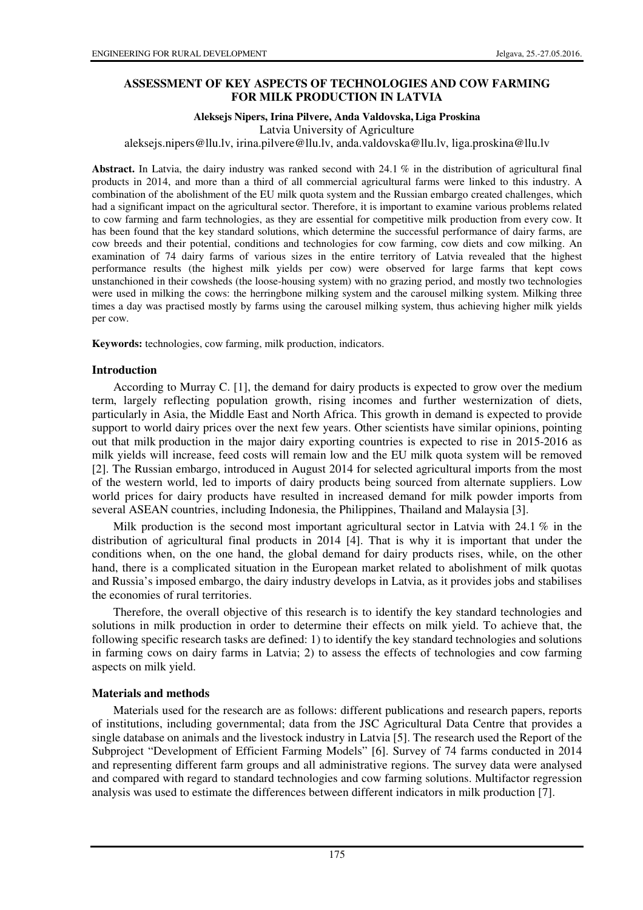# **ASSESSMENT OF KEY ASPECTS OF TECHNOLOGIES AND COW FARMING FOR MILK PRODUCTION IN LATVIA**

### **Aleksejs Nipers, Irina Pilvere, Anda Valdovska, Liga Proskina**

Latvia University of Agriculture

aleksejs.nipers@llu.lv, irina.pilvere@llu.lv, anda.valdovska@llu.lv, liga.proskina@llu.lv

**Abstract.** In Latvia, the dairy industry was ranked second with 24.1 % in the distribution of agricultural final products in 2014, and more than a third of all commercial agricultural farms were linked to this industry. A combination of the abolishment of the EU milk quota system and the Russian embargo created challenges, which had a significant impact on the agricultural sector. Therefore, it is important to examine various problems related to cow farming and farm technologies, as they are essential for competitive milk production from every cow. It has been found that the key standard solutions, which determine the successful performance of dairy farms, are cow breeds and their potential, conditions and technologies for cow farming, cow diets and cow milking. An examination of 74 dairy farms of various sizes in the entire territory of Latvia revealed that the highest performance results (the highest milk yields per cow) were observed for large farms that kept cows unstanchioned in their cowsheds (the loose-housing system) with no grazing period, and mostly two technologies were used in milking the cows: the herringbone milking system and the carousel milking system. Milking three times a day was practised mostly by farms using the carousel milking system, thus achieving higher milk yields per cow.

**Keywords:** technologies, cow farming, milk production, indicators.

## **Introduction**

According to Murray C. [1], the demand for dairy products is expected to grow over the medium term, largely reflecting population growth, rising incomes and further westernization of diets, particularly in Asia, the Middle East and North Africa. This growth in demand is expected to provide support to world dairy prices over the next few years. Other scientists have similar opinions, pointing out that milk production in the major dairy exporting countries is expected to rise in 2015-2016 as milk yields will increase, feed costs will remain low and the EU milk quota system will be removed [2]. The Russian embargo, introduced in August 2014 for selected agricultural imports from the most of the western world, led to imports of dairy products being sourced from alternate suppliers. Low world prices for dairy products have resulted in increased demand for milk powder imports from several ASEAN countries, including Indonesia, the Philippines, Thailand and Malaysia [3].

Milk production is the second most important agricultural sector in Latvia with 24.1  $\%$  in the distribution of agricultural final products in 2014 [4]. That is why it is important that under the conditions when, on the one hand, the global demand for dairy products rises, while, on the other hand, there is a complicated situation in the European market related to abolishment of milk quotas and Russia's imposed embargo, the dairy industry develops in Latvia, as it provides jobs and stabilises the economies of rural territories.

Therefore, the overall objective of this research is to identify the key standard technologies and solutions in milk production in order to determine their effects on milk yield. To achieve that, the following specific research tasks are defined: 1) to identify the key standard technologies and solutions in farming cows on dairy farms in Latvia; 2) to assess the effects of technologies and cow farming aspects on milk yield.

## **Materials and methods**

Materials used for the research are as follows: different publications and research papers, reports of institutions, including governmental; data from the JSC Agricultural Data Centre that provides a single database on animals and the livestock industry in Latvia [5]. The research used the Report of the Subproject "Development of Efficient Farming Models" [6]. Survey of 74 farms conducted in 2014 and representing different farm groups and all administrative regions. The survey data were analysed and compared with regard to standard technologies and cow farming solutions. Multifactor regression analysis was used to estimate the differences between different indicators in milk production [7].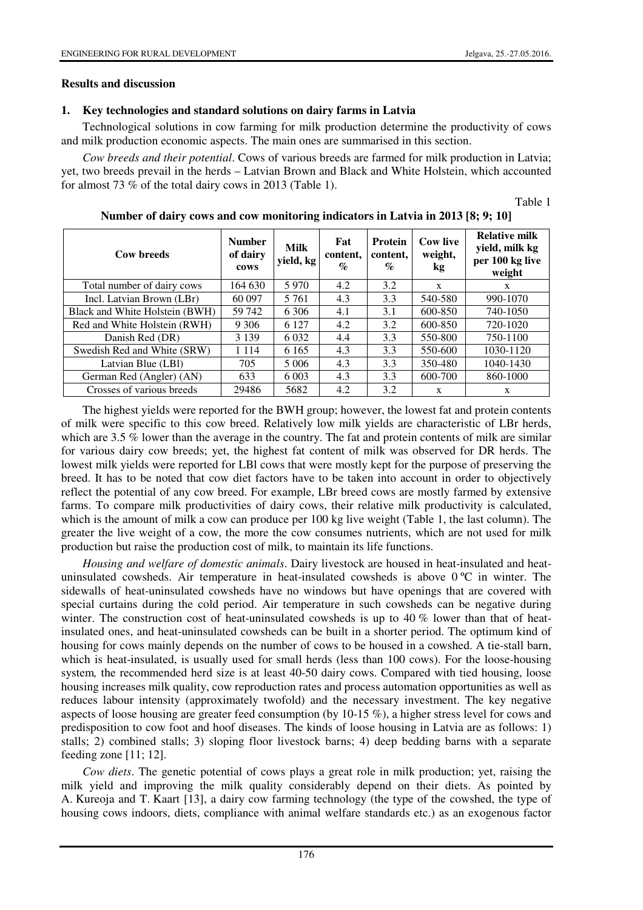# **Results and discussion**

# **1. Key technologies and standard solutions on dairy farms in Latvia**

Technological solutions in cow farming for milk production determine the productivity of cows and milk production economic aspects. The main ones are summarised in this section.

*Cow breeds and their potential*. Cows of various breeds are farmed for milk production in Latvia; yet, two breeds prevail in the herds – Latvian Brown and Black and White Holstein, which accounted for almost 73 % of the total dairy cows in 2013 (Table 1).

Table 1

| Cow breeds                     | <b>Number</b><br>of dairy<br>cows | Milk<br>yield, kg | Fat<br>content,<br>$\mathcal{O}_0$ | <b>Protein</b><br>content,<br>$\mathcal{G}_{\Omega}$ | <b>Cow live</b><br>weight,<br>kg | <b>Relative milk</b><br>yield, milk kg<br>per 100 kg live<br>weight |
|--------------------------------|-----------------------------------|-------------------|------------------------------------|------------------------------------------------------|----------------------------------|---------------------------------------------------------------------|
| Total number of dairy cows     | 164 630                           | 5970              | 4.2                                | 3.2                                                  | X                                | X                                                                   |
| Incl. Latvian Brown (LBr)      | 60 097                            | 5 7 6 1           | 4.3                                | 3.3                                                  | 540-580                          | 990-1070                                                            |
| Black and White Holstein (BWH) | 59 742                            | 6 3 0 6           | 4.1                                | 3.1                                                  | 600-850                          | 740-1050                                                            |
| Red and White Holstein (RWH)   | 9 3 0 6                           | 6 1 2 7           | 4.2                                | 3.2                                                  | 600-850                          | 720-1020                                                            |
| Danish Red (DR)                | 3 1 3 9                           | 6 0 3 2           | 4.4                                | 3.3                                                  | 550-800                          | 750-1100                                                            |
| Swedish Red and White (SRW)    | 1 1 1 4                           | 6 1 6 5           | 4.3                                | 3.3                                                  | 550-600                          | 1030-1120                                                           |
| Latvian Blue (LBI)             | 705                               | 5 006             | 4.3                                | 3.3                                                  | 350-480                          | 1040-1430                                                           |
| German Red (Angler) (AN)       | 633                               | 6 0 0 3           | 4.3                                | 3.3                                                  | 600-700                          | 860-1000                                                            |
| Crosses of various breeds      | 29486                             | 5682              | 4.2                                | 3.2                                                  | X                                | X                                                                   |

**Number of dairy cows and cow monitoring indicators in Latvia in 2013 [8; 9; 10]** 

The highest yields were reported for the BWH group; however, the lowest fat and protein contents of milk were specific to this cow breed. Relatively low milk yields are characteristic of LBr herds, which are 3.5 % lower than the average in the country. The fat and protein contents of milk are similar for various dairy cow breeds; yet, the highest fat content of milk was observed for DR herds. The lowest milk yields were reported for LBl cows that were mostly kept for the purpose of preserving the breed. It has to be noted that cow diet factors have to be taken into account in order to objectively reflect the potential of any cow breed. For example, LBr breed cows are mostly farmed by extensive farms. To compare milk productivities of dairy cows, their relative milk productivity is calculated, which is the amount of milk a cow can produce per 100 kg live weight (Table 1, the last column). The greater the live weight of a cow, the more the cow consumes nutrients, which are not used for milk production but raise the production cost of milk, to maintain its life functions.

*Housing and welfare of domestic animals*. Dairy livestock are housed in heat-insulated and heatuninsulated cowsheds. Air temperature in heat-insulated cowsheds is above  $0^{\circ}$ C in winter. The sidewalls of heat-uninsulated cowsheds have no windows but have openings that are covered with special curtains during the cold period. Air temperature in such cowsheds can be negative during winter. The construction cost of heat-uninsulated cowsheds is up to 40  $\%$  lower than that of heatinsulated ones, and heat-uninsulated cowsheds can be built in a shorter period. The optimum kind of housing for cows mainly depends on the number of cows to be housed in a cowshed. A tie-stall barn, which is heat-insulated, is usually used for small herds (less than 100 cows). For the loose-housing system*,* the recommended herd size is at least 40-50 dairy cows. Compared with tied housing, loose housing increases milk quality, cow reproduction rates and process automation opportunities as well as reduces labour intensity (approximately twofold) and the necessary investment. The key negative aspects of loose housing are greater feed consumption (by 10-15 %), a higher stress level for cows and predisposition to cow foot and hoof diseases. The kinds of loose housing in Latvia are as follows: 1) stalls; 2) combined stalls; 3) sloping floor livestock barns; 4) deep bedding barns with a separate feeding zone [11; 12].

*Cow diets*. The genetic potential of cows plays a great role in milk production; yet, raising the milk yield and improving the milk quality considerably depend on their diets. As pointed by A. Kureoja and T. Kaart [13], a dairy cow farming technology (the type of the cowshed, the type of housing cows indoors, diets, compliance with animal welfare standards etc.) as an exogenous factor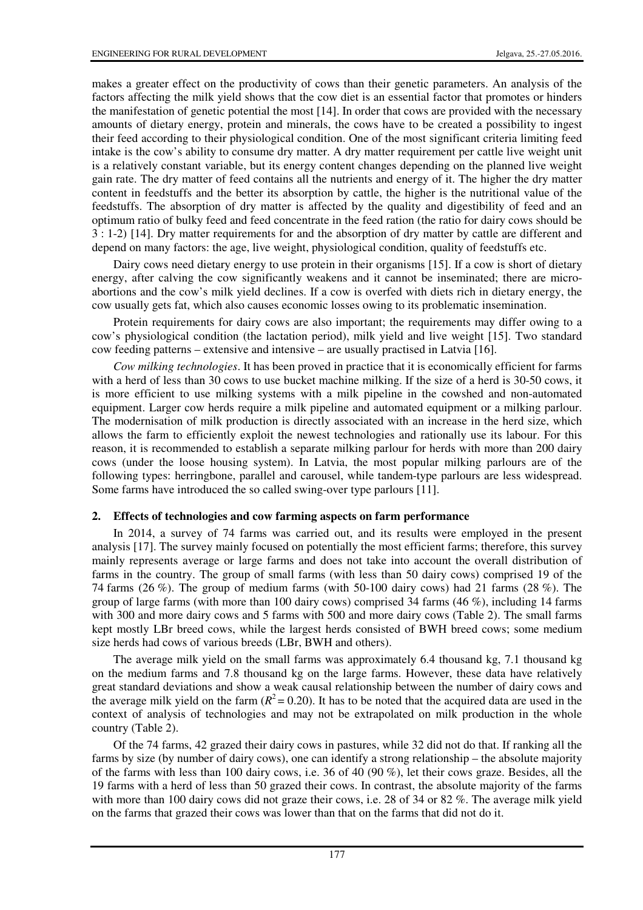makes a greater effect on the productivity of cows than their genetic parameters. An analysis of the factors affecting the milk yield shows that the cow diet is an essential factor that promotes or hinders the manifestation of genetic potential the most [14]. In order that cows are provided with the necessary amounts of dietary energy, protein and minerals, the cows have to be created a possibility to ingest their feed according to their physiological condition. One of the most significant criteria limiting feed intake is the cow's ability to consume dry matter. A dry matter requirement per cattle live weight unit is a relatively constant variable, but its energy content changes depending on the planned live weight gain rate. The dry matter of feed contains all the nutrients and energy of it. The higher the dry matter content in feedstuffs and the better its absorption by cattle, the higher is the nutritional value of the feedstuffs. The absorption of dry matter is affected by the quality and digestibility of feed and an optimum ratio of bulky feed and feed concentrate in the feed ration (the ratio for dairy cows should be 3 : 1-2) [14]. Dry matter requirements for and the absorption of dry matter by cattle are different and depend on many factors: the age, live weight, physiological condition, quality of feedstuffs etc.

Dairy cows need dietary energy to use protein in their organisms [15]. If a cow is short of dietary energy, after calving the cow significantly weakens and it cannot be inseminated; there are microabortions and the cow's milk yield declines. If a cow is overfed with diets rich in dietary energy, the cow usually gets fat, which also causes economic losses owing to its problematic insemination.

Protein requirements for dairy cows are also important; the requirements may differ owing to a cow's physiological condition (the lactation period), milk yield and live weight [15]. Two standard cow feeding patterns – extensive and intensive – are usually practised in Latvia [16].

*Cow milking technologies*. It has been proved in practice that it is economically efficient for farms with a herd of less than 30 cows to use bucket machine milking. If the size of a herd is 30-50 cows, it is more efficient to use milking systems with a milk pipeline in the cowshed and non-automated equipment. Larger cow herds require a milk pipeline and automated equipment or a milking parlour. The modernisation of milk production is directly associated with an increase in the herd size, which allows the farm to efficiently exploit the newest technologies and rationally use its labour. For this reason, it is recommended to establish a separate milking parlour for herds with more than 200 dairy cows (under the loose housing system). In Latvia, the most popular milking parlours are of the following types: herringbone, parallel and carousel, while tandem-type parlours are less widespread. Some farms have introduced the so called swing-over type parlours [11].

## **2. Effects of technologies and cow farming aspects on farm performance**

In 2014, a survey of 74 farms was carried out, and its results were employed in the present analysis [17]. The survey mainly focused on potentially the most efficient farms; therefore, this survey mainly represents average or large farms and does not take into account the overall distribution of farms in the country. The group of small farms (with less than 50 dairy cows) comprised 19 of the 74 farms (26 %). The group of medium farms (with 50-100 dairy cows) had 21 farms (28 %). The group of large farms (with more than 100 dairy cows) comprised 34 farms  $(46\%)$ , including 14 farms with 300 and more dairy cows and 5 farms with 500 and more dairy cows (Table 2). The small farms kept mostly LBr breed cows, while the largest herds consisted of BWH breed cows; some medium size herds had cows of various breeds (LBr, BWH and others).

The average milk yield on the small farms was approximately 6.4 thousand kg, 7.1 thousand kg on the medium farms and 7.8 thousand kg on the large farms. However, these data have relatively great standard deviations and show a weak causal relationship between the number of dairy cows and the average milk yield on the farm  $(R^2 = 0.20)$ . It has to be noted that the acquired data are used in the context of analysis of technologies and may not be extrapolated on milk production in the whole country (Table 2).

Of the 74 farms, 42 grazed their dairy cows in pastures, while 32 did not do that. If ranking all the farms by size (by number of dairy cows), one can identify a strong relationship – the absolute majority of the farms with less than 100 dairy cows, i.e. 36 of 40 (90 %), let their cows graze. Besides, all the 19 farms with a herd of less than 50 grazed their cows. In contrast, the absolute majority of the farms with more than 100 dairy cows did not graze their cows, i.e. 28 of 34 or 82 %. The average milk yield on the farms that grazed their cows was lower than that on the farms that did not do it.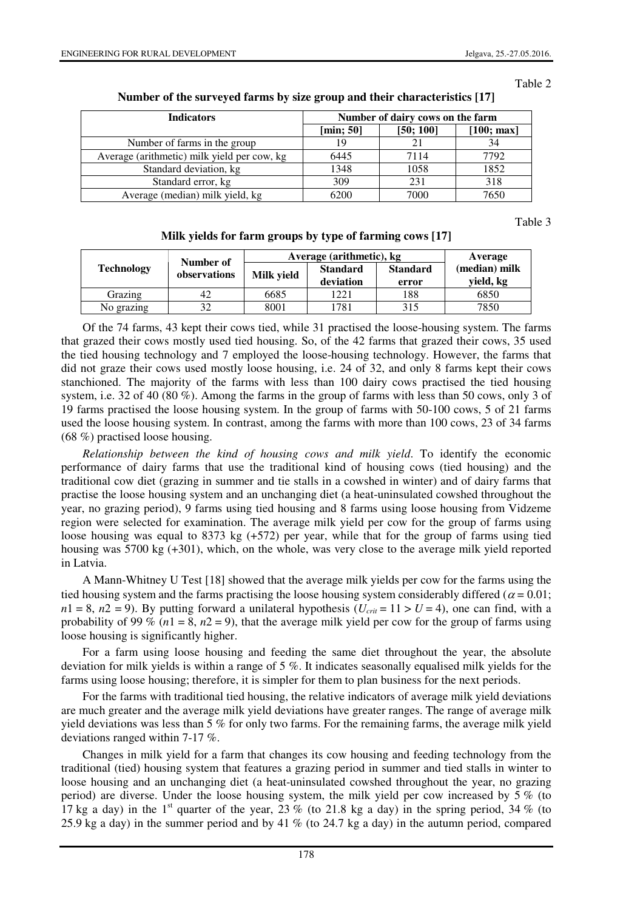#### Table 2

| <b>Indicators</b>                           | Number of dairy cows on the farm |           |            |  |  |
|---------------------------------------------|----------------------------------|-----------|------------|--|--|
|                                             | [min; 50]                        | [50; 100] | [100; max] |  |  |
| Number of farms in the group                | 19                               | 21        | 34         |  |  |
| Average (arithmetic) milk yield per cow, kg | 6445                             | 7114      | 7792       |  |  |
| Standard deviation, kg                      | 1348                             | 1058      | 1852       |  |  |
| Standard error, kg                          | 309                              | 231       | 318        |  |  |
| Average (median) milk yield, kg             | 6200                             | 7000      | 7650       |  |  |

### **Number of the surveyed farms by size group and their characteristics [17]**

Table 3

|  |  | Milk yields for farm groups by type of farming cows [17] |  |
|--|--|----------------------------------------------------------|--|
|  |  |                                                          |  |

|                   | Number of    | Average (arithmetic), kg | Average                      |                          |                            |
|-------------------|--------------|--------------------------|------------------------------|--------------------------|----------------------------|
| <b>Technology</b> | observations | Milk yield               | <b>Standard</b><br>deviation | <b>Standard</b><br>error | (median) milk<br>yield, kg |
| Grazing           | 42           | 6685                     | 1221                         | 188                      | 6850                       |
| No grazing        | 32           | 8001                     | 1781                         | 315                      | 7850                       |

Of the 74 farms, 43 kept their cows tied, while 31 practised the loose-housing system. The farms that grazed their cows mostly used tied housing. So, of the 42 farms that grazed their cows, 35 used the tied housing technology and 7 employed the loose-housing technology. However, the farms that did not graze their cows used mostly loose housing, i.e. 24 of 32, and only 8 farms kept their cows stanchioned. The majority of the farms with less than 100 dairy cows practised the tied housing system, i.e. 32 of 40 (80 %). Among the farms in the group of farms with less than 50 cows, only 3 of 19 farms practised the loose housing system. In the group of farms with 50-100 cows, 5 of 21 farms used the loose housing system. In contrast, among the farms with more than 100 cows, 23 of 34 farms (68 %) practised loose housing.

*Relationship between the kind of housing cows and milk yield*. To identify the economic performance of dairy farms that use the traditional kind of housing cows (tied housing) and the traditional cow diet (grazing in summer and tie stalls in a cowshed in winter) and of dairy farms that practise the loose housing system and an unchanging diet (a heat-uninsulated cowshed throughout the year, no grazing period), 9 farms using tied housing and 8 farms using loose housing from Vidzeme region were selected for examination. The average milk yield per cow for the group of farms using loose housing was equal to 8373 kg (+572) per year, while that for the group of farms using tied housing was 5700 kg (+301), which, on the whole, was very close to the average milk yield reported in Latvia.

A Mann-Whitney U Test [18] showed that the average milk yields per cow for the farms using the tied housing system and the farms practising the loose housing system considerably differed ( $\alpha$  = 0.01;  $n_1 = 8$ ,  $n_2 = 9$ ). By putting forward a unilateral hypothesis ( $U_{crit} = 11 > U = 4$ ), one can find, with a probability of 99 % ( $n1 = 8$ ,  $n2 = 9$ ), that the average milk yield per cow for the group of farms using loose housing is significantly higher.

For a farm using loose housing and feeding the same diet throughout the year, the absolute deviation for milk yields is within a range of 5 %. It indicates seasonally equalised milk yields for the farms using loose housing; therefore, it is simpler for them to plan business for the next periods.

For the farms with traditional tied housing, the relative indicators of average milk yield deviations are much greater and the average milk yield deviations have greater ranges. The range of average milk yield deviations was less than 5 % for only two farms. For the remaining farms, the average milk yield deviations ranged within 7-17 %.

Changes in milk yield for a farm that changes its cow housing and feeding technology from the traditional (tied) housing system that features a grazing period in summer and tied stalls in winter to loose housing and an unchanging diet (a heat-uninsulated cowshed throughout the year, no grazing period) are diverse. Under the loose housing system, the milk yield per cow increased by 5 % (to 17 kg a day) in the 1<sup>st</sup> quarter of the year, 23 % (to 21.8 kg a day) in the spring period, 34 % (to 25.9 kg a day) in the summer period and by 41 % (to 24.7 kg a day) in the autumn period, compared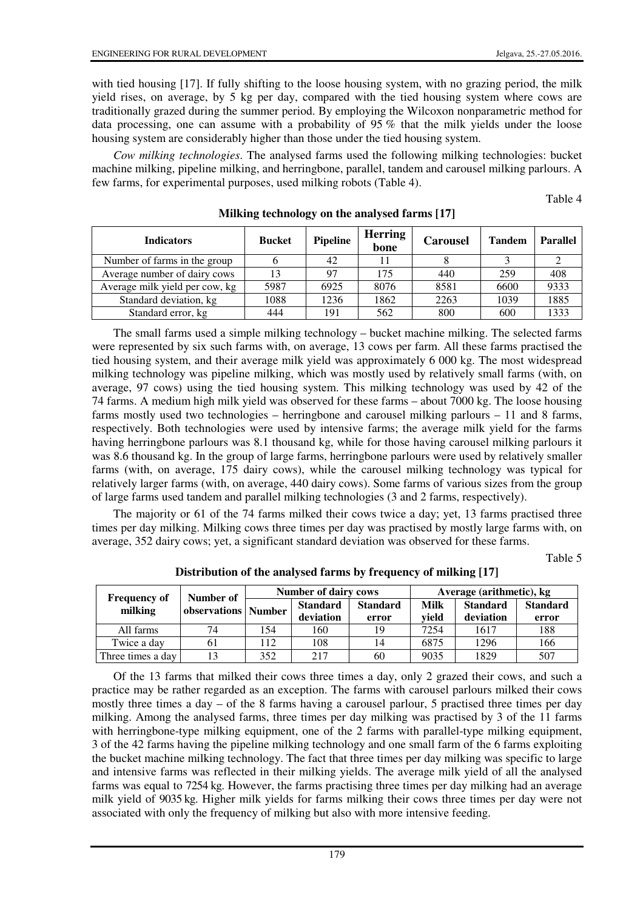with tied housing [17]. If fully shifting to the loose housing system, with no grazing period, the milk yield rises, on average, by 5 kg per day, compared with the tied housing system where cows are traditionally grazed during the summer period. By employing the Wilcoxon nonparametric method for data processing, one can assume with a probability of 95 % that the milk yields under the loose housing system are considerably higher than those under the tied housing system.

*Cow milking technologies*. The analysed farms used the following milking technologies: bucket machine milking, pipeline milking, and herringbone, parallel, tandem and carousel milking parlours. A few farms, for experimental purposes, used milking robots (Table 4).

Table 4

| <b>Indicators</b>              | <b>Bucket</b> | <b>Pipeline</b> | <b>Herring</b><br>bone | <b>Carousel</b> | <b>Tandem</b> | <b>Parallel</b> |
|--------------------------------|---------------|-----------------|------------------------|-----------------|---------------|-----------------|
| Number of farms in the group   |               | 42              |                        |                 |               |                 |
| Average number of dairy cows   | 13            | 97              | 175                    | 440             | 259           | 408             |
| Average milk yield per cow, kg | 5987          | 6925            | 8076                   | 8581            | 6600          | 9333            |
| Standard deviation, kg         | 1088          | 1236            | 1862                   | 2263            | 1039          | 1885            |
| Standard error, kg             | 444           | 191             | 562                    | 800             | 600           | 1333            |

# **Milking technology on the analysed farms [17]**

The small farms used a simple milking technology – bucket machine milking. The selected farms were represented by six such farms with, on average, 13 cows per farm. All these farms practised the tied housing system, and their average milk yield was approximately 6 000 kg. The most widespread milking technology was pipeline milking, which was mostly used by relatively small farms (with, on average, 97 cows) using the tied housing system. This milking technology was used by 42 of the 74 farms. A medium high milk yield was observed for these farms – about 7000 kg. The loose housing farms mostly used two technologies – herringbone and carousel milking parlours – 11 and 8 farms, respectively. Both technologies were used by intensive farms; the average milk yield for the farms having herringbone parlours was 8.1 thousand kg, while for those having carousel milking parlours it was 8.6 thousand kg. In the group of large farms, herringbone parlours were used by relatively smaller farms (with, on average, 175 dairy cows), while the carousel milking technology was typical for relatively larger farms (with, on average, 440 dairy cows). Some farms of various sizes from the group of large farms used tandem and parallel milking technologies (3 and 2 farms, respectively).

The majority or 61 of the 74 farms milked their cows twice a day; yet, 13 farms practised three times per day milking. Milking cows three times per day was practised by mostly large farms with, on average, 352 dairy cows; yet, a significant standard deviation was observed for these farms.

Table 5

|                                | Number of             | <b>Number of dairy cows</b> |                              |                          | Average (arithmetic), kg |                              |                          |  |
|--------------------------------|-----------------------|-----------------------------|------------------------------|--------------------------|--------------------------|------------------------------|--------------------------|--|
| <b>Frequency of</b><br>milking | observations   Number |                             | <b>Standard</b><br>deviation | <b>Standard</b><br>error | <b>Milk</b><br>vield     | <b>Standard</b><br>deviation | <b>Standard</b><br>error |  |
| All farms                      | 74                    | 154                         | 160                          | 19                       | 7254                     | 1617                         | 188                      |  |
| Twice a day                    | 61                    | 112                         | 108                          | 14                       | 6875                     | 1296                         | 166                      |  |
| Three times a day              | 13                    | 352                         | 217                          | 60                       | 9035                     | 1829                         | 507                      |  |

**Distribution of the analysed farms by frequency of milking [17]** 

Of the 13 farms that milked their cows three times a day, only 2 grazed their cows, and such a practice may be rather regarded as an exception. The farms with carousel parlours milked their cows mostly three times a day – of the 8 farms having a carousel parlour, 5 practised three times per day milking. Among the analysed farms, three times per day milking was practised by 3 of the 11 farms with herringbone-type milking equipment, one of the 2 farms with parallel-type milking equipment, 3 of the 42 farms having the pipeline milking technology and one small farm of the 6 farms exploiting the bucket machine milking technology. The fact that three times per day milking was specific to large and intensive farms was reflected in their milking yields. The average milk yield of all the analysed farms was equal to 7254 kg. However, the farms practising three times per day milking had an average milk yield of 9035 kg. Higher milk yields for farms milking their cows three times per day were not associated with only the frequency of milking but also with more intensive feeding.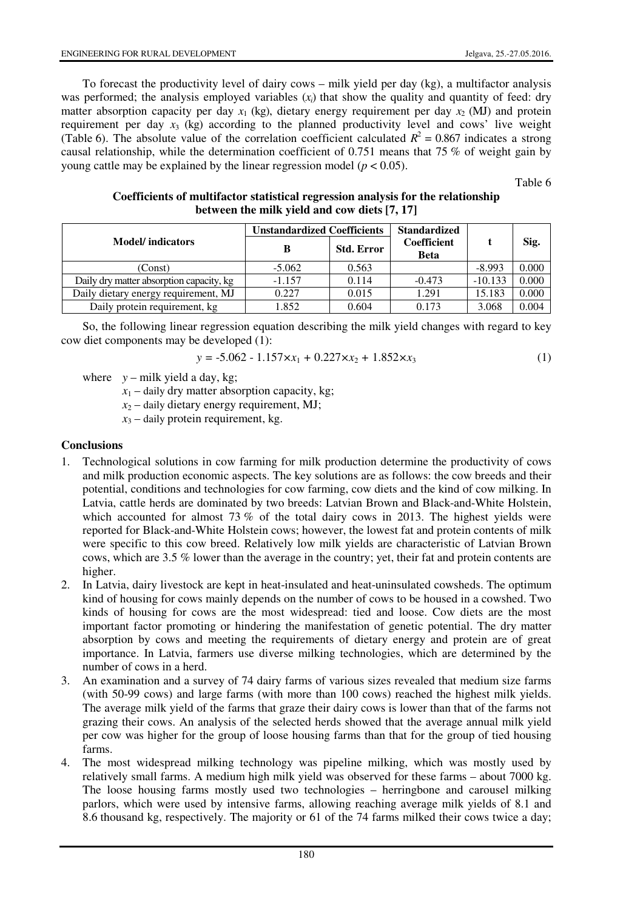To forecast the productivity level of dairy cows – milk yield per day (kg), a multifactor analysis was performed; the analysis employed variables  $(x<sub>i</sub>)$  that show the quality and quantity of feed: dry matter absorption capacity per day  $x_1$  (kg), dietary energy requirement per day  $x_2$  (MJ) and protein requirement per day  $x_3$  (kg) according to the planned productivity level and cows' live weight (Table 6). The absolute value of the correlation coefficient calculated  $R^2 = 0.867$  indicates a strong causal relationship, while the determination coefficient of 0.751 means that 75 % of weight gain by young cattle may be explained by the linear regression model ( $p < 0.05$ ).

Table 6

| Coefficients of multifactor statistical regression analysis for the relationship |  |
|----------------------------------------------------------------------------------|--|
| between the milk yield and cow diets [7, 17]                                     |  |

|                                          | <b>Unstandardized Coefficients</b> |                   | <b>Standardized</b>               |           |       |
|------------------------------------------|------------------------------------|-------------------|-----------------------------------|-----------|-------|
| <b>Model</b> /indicators                 | B                                  | <b>Std. Error</b> | <b>Coefficient</b><br><b>Beta</b> |           | Sig.  |
| (Const)                                  | $-5.062$                           | 0.563             |                                   | $-8.993$  | 0.000 |
| Daily dry matter absorption capacity, kg | $-1.157$                           | 0.114             | $-0.473$                          | $-10.133$ | 0.000 |
| Daily dietary energy requirement, MJ     | 0.227                              | 0.015             | 1.291                             | 15.183    | 0.000 |
| Daily protein requirement, kg            | 1.852                              | 0.604             | 0.173                             | 3.068     | 0.004 |

So, the following linear regression equation describing the milk yield changes with regard to key cow diet components may be developed (1):

$$
y = -5.062 - 1.157 \times x_1 + 0.227 \times x_2 + 1.852 \times x_3 \tag{1}
$$

- where  $y$  milk yield a day, kg;
	- $x_1$  daily dry matter absorption capacity, kg;
	- $x_2$  daily dietary energy requirement, MJ;
	- $x_3$  daily protein requirement, kg.

# **Conclusions**

- 1. Technological solutions in cow farming for milk production determine the productivity of cows and milk production economic aspects. The key solutions are as follows: the cow breeds and their potential, conditions and technologies for cow farming, cow diets and the kind of cow milking. In Latvia, cattle herds are dominated by two breeds: Latvian Brown and Black-and-White Holstein, which accounted for almost 73 % of the total dairy cows in 2013. The highest yields were reported for Black-and-White Holstein cows; however, the lowest fat and protein contents of milk were specific to this cow breed. Relatively low milk yields are characteristic of Latvian Brown cows, which are 3.5 % lower than the average in the country; yet, their fat and protein contents are higher.
- 2. In Latvia, dairy livestock are kept in heat-insulated and heat-uninsulated cowsheds. The optimum kind of housing for cows mainly depends on the number of cows to be housed in a cowshed. Two kinds of housing for cows are the most widespread: tied and loose. Cow diets are the most important factor promoting or hindering the manifestation of genetic potential. The dry matter absorption by cows and meeting the requirements of dietary energy and protein are of great importance. In Latvia, farmers use diverse milking technologies, which are determined by the number of cows in a herd.
- 3. An examination and a survey of 74 dairy farms of various sizes revealed that medium size farms (with 50-99 cows) and large farms (with more than 100 cows) reached the highest milk yields. The average milk yield of the farms that graze their dairy cows is lower than that of the farms not grazing their cows. An analysis of the selected herds showed that the average annual milk yield per cow was higher for the group of loose housing farms than that for the group of tied housing farms.
- 4. The most widespread milking technology was pipeline milking, which was mostly used by relatively small farms. A medium high milk yield was observed for these farms – about 7000 kg. The loose housing farms mostly used two technologies – herringbone and carousel milking parlors, which were used by intensive farms, allowing reaching average milk yields of 8.1 and 8.6 thousand kg, respectively. The majority or 61 of the 74 farms milked their cows twice a day;